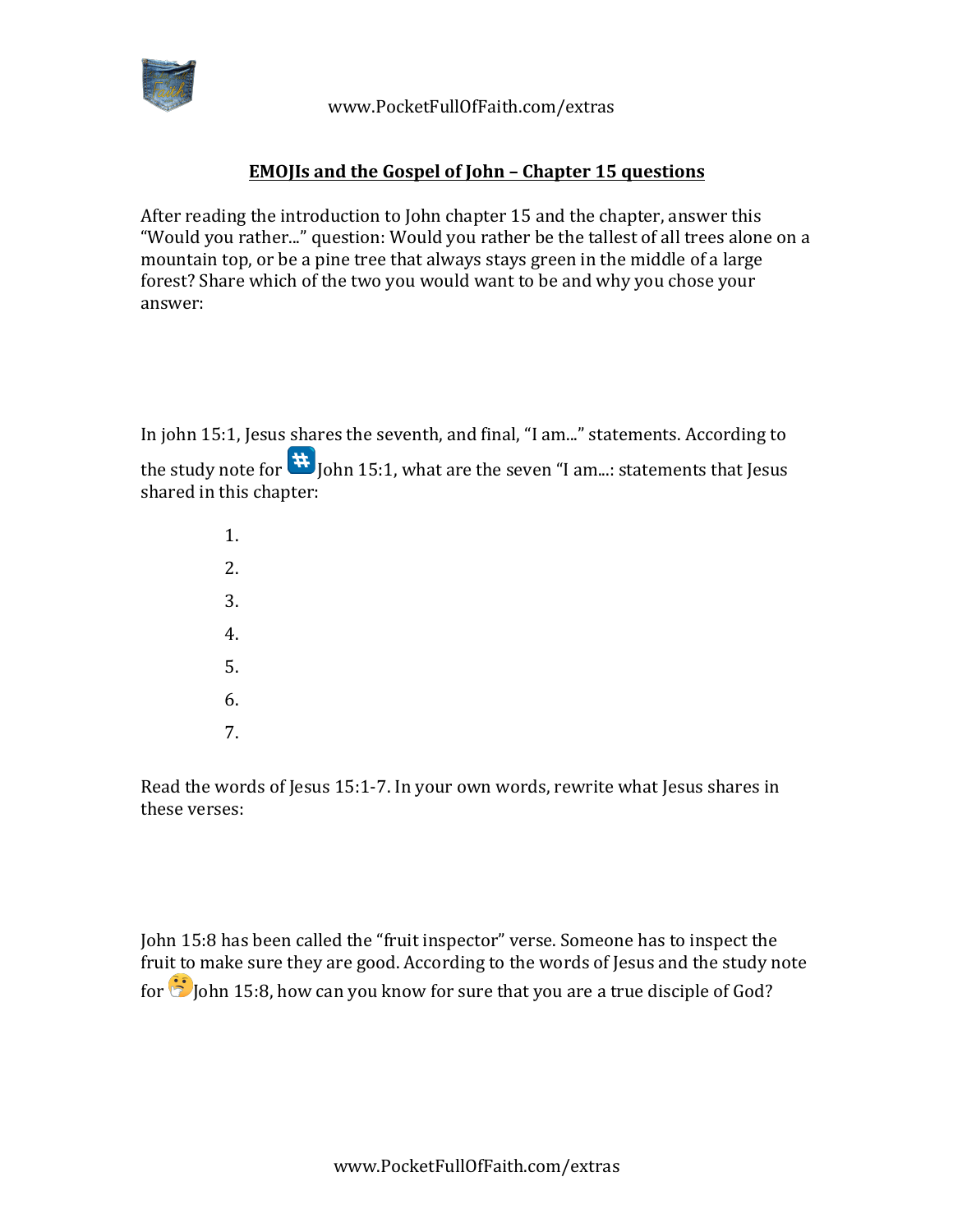

 www.PocketFullOfFaith.com/extras

## **EMOJIs and the Gospel of John - Chapter 15 questions**

After reading the introduction to John chapter 15 and the chapter, answer this "Would you rather..." question: Would you rather be the tallest of all trees alone on a mountain top, or be a pine tree that always stays green in the middle of a large forest? Share which of the two you would want to be and why you chose your answer:

In john 15:1, Jesus shares the seventh, and final, "I am..." statements. According to the study note for  $\mathbf{H}$  John 15:1, what are the seven "I am...: statements that Jesus shared in this chapter:

> 1. 2. 3. 4. 5. 6. 7.

Read the words of Jesus  $15:1-7$ . In your own words, rewrite what Jesus shares in these verses:

John 15:8 has been called the "fruit inspector" verse. Someone has to inspect the fruit to make sure they are good. According to the words of Jesus and the study note for  $\ddot{\bullet}$  John 15:8, how can you know for sure that you are a true disciple of God?